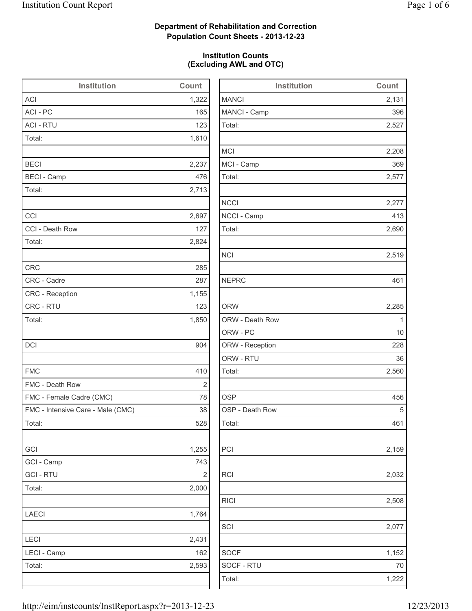2,131

2,527

2,208

2,690

2,519

2,285

2,560

2,032

RICI 2,508

2,077

1,152

## **Department of Rehabilitation and Correction Population Count Sheets - 2013-12-23**

## **Institution Counts (Excluding AWL and OTC)**

| Institution                       | Count                   | Institution     | Count        |
|-----------------------------------|-------------------------|-----------------|--------------|
| <b>ACI</b>                        | 1,322                   | <b>MANCI</b>    | 2,131        |
| ACI - PC                          | 165                     | MANCI - Camp    | 396          |
| <b>ACI - RTU</b>                  | 123                     | Total:          | 2,527        |
| Total:                            | 1,610                   |                 |              |
|                                   |                         | <b>MCI</b>      | 2,208        |
| <b>BECI</b>                       | 2,237                   | MCI - Camp      | 369          |
| <b>BECI</b> - Camp                | 476                     | Total:          | 2,577        |
| Total:                            | 2,713                   |                 |              |
|                                   |                         | <b>NCCI</b>     | 2,277        |
| CCI                               | 2,697                   | NCCI - Camp     | 413          |
| CCI - Death Row                   | 127                     | Total:          | 2,690        |
| Total:                            | 2,824                   |                 |              |
|                                   |                         | <b>NCI</b>      | 2,519        |
| <b>CRC</b>                        | 285                     |                 |              |
| CRC - Cadre                       | 287                     | <b>NEPRC</b>    | 461          |
| CRC - Reception                   | 1,155                   |                 |              |
| CRC - RTU                         | 123                     | <b>ORW</b>      | 2,285        |
| Total:                            | 1,850                   | ORW - Death Row | $\mathbf{1}$ |
|                                   |                         | ORW - PC        | 10           |
| <b>DCI</b>                        | 904                     | ORW - Reception | 228          |
|                                   |                         | ORW - RTU       | 36           |
| <b>FMC</b>                        | 410                     | Total:          | 2,560        |
| FMC - Death Row                   | $\overline{\mathbf{c}}$ |                 |              |
| FMC - Female Cadre (CMC)          | 78                      | <b>OSP</b>      | 456          |
| FMC - Intensive Care - Male (CMC) | 38                      | OSP - Death Row | 5            |
| Total:                            | 528                     | Total:          | 461          |
| GCI                               | 1,255                   | PCI             | 2,159        |
| GCI - Camp                        | 743                     |                 |              |
| <b>GCI-RTU</b>                    | 2                       | RCI             | 2,032        |
| Total:                            | 2,000                   |                 |              |
|                                   |                         | <b>RICI</b>     | 2,508        |
| LAECI                             | 1,764                   |                 |              |
|                                   |                         | SCI             | 2,077        |
| LECI                              | 2,431                   |                 |              |
| LECI - Camp                       | 162                     | <b>SOCF</b>     | 1,152        |
| Total:                            | 2,593                   | SOCF - RTU      | 70           |
|                                   |                         | Total:          | 1,222        |
|                                   |                         |                 |              |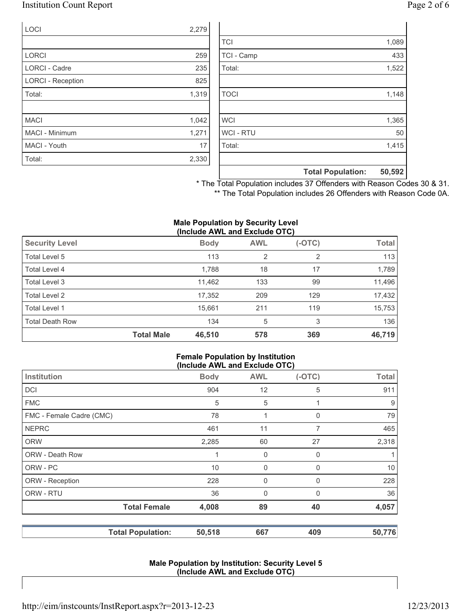## Institution Count Report Page 2 of 6

| <b>LOCI</b>              | 2,279 |
|--------------------------|-------|
|                          |       |
| <b>LORCI</b>             | 259   |
| <b>LORCI - Cadre</b>     | 235   |
| <b>LORCI - Reception</b> | 825   |
| Total:                   | 1,319 |
|                          |       |
| <b>MACI</b>              | 1,042 |
| <b>MACI - Minimum</b>    | 1,271 |
| MACI - Youth             | 17    |
| Total:                   | 2,330 |

|                | <b>Total Population:</b> | 50,592 |
|----------------|--------------------------|--------|
|                |                          |        |
| Total:         |                          | 1,415  |
| <b>WCI-RTU</b> |                          | 50     |
| <b>WCI</b>     |                          | 1,365  |
|                |                          |        |
| <b>TOCI</b>    |                          | 1,148  |
|                |                          |        |
| Total:         |                          | 1,522  |
| TCI - Camp     |                          | 433    |
| <b>TCI</b>     |                          | 1,089  |

\* The Total Population includes 37 Offenders with Reason Codes 30 & 31. \*\* The Total Population includes 26 Offenders with Reason Code 0A.

#### **Male Population by Security Level (Include AWL and Exclude OTC)**

|                        |                   | ,           |                |          |              |
|------------------------|-------------------|-------------|----------------|----------|--------------|
| <b>Security Level</b>  |                   | <b>Body</b> | <b>AWL</b>     | $(-OTC)$ | <b>Total</b> |
| Total Level 5          |                   | 113         | $\overline{2}$ | 2        | 113          |
| Total Level 4          |                   | 1,788       | 18             | 17       | 1,789        |
| Total Level 3          |                   | 11,462      | 133            | 99       | 11,496       |
| Total Level 2          |                   | 17,352      | 209            | 129      | 17,432       |
| Total Level 1          |                   | 15,661      | 211            | 119      | 15,753       |
| <b>Total Death Row</b> |                   | 134         | 5              | 3        | 136          |
|                        | <b>Total Male</b> | 46,510      | 578            | 369      | 46,719       |

### **Female Population by Institution (Include AWL and Exclude OTC)**

|                          | $(1101440)$ and $2101440$ and $0.9$ |             |          |              |
|--------------------------|-------------------------------------|-------------|----------|--------------|
| Institution              | <b>Body</b>                         | <b>AWL</b>  | $(-OTC)$ | <b>Total</b> |
| <b>DCI</b>               | 904                                 | 12          | 5        | 911          |
| <b>FMC</b>               | 5                                   | 5           |          | 9            |
| FMC - Female Cadre (CMC) | 78                                  | 1           | 0        | 79           |
| <b>NEPRC</b>             | 461                                 | 11          | 7        | 465          |
| <b>ORW</b>               | 2,285                               | 60          | 27       | 2,318        |
| <b>ORW - Death Row</b>   |                                     | 0           | 0        | 1            |
| ORW - PC                 | 10                                  | $\mathbf 0$ | 0        | 10           |
| ORW - Reception          | 228                                 | 0           | 0        | 228          |
| ORW - RTU                | 36                                  | 0           | 0        | 36           |
| <b>Total Female</b>      | 4,008                               | 89          | 40       | 4,057        |
| <b>Total Population:</b> | 50,518                              | 667         | 409      | 50,776       |

### **Male Population by Institution: Security Level 5 (Include AWL and Exclude OTC)**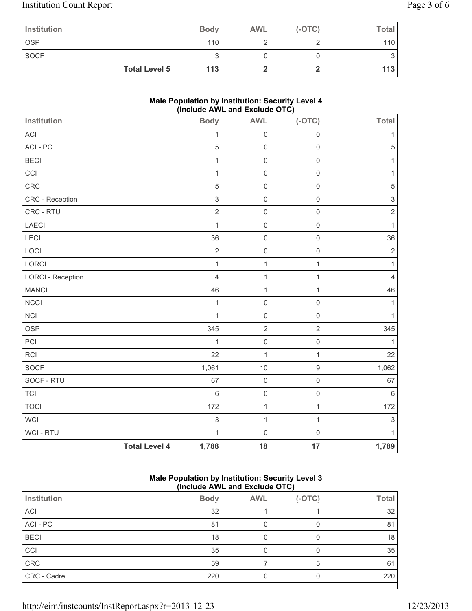# Institution Count Report Page 3 of 6

| Institution          | <b>Body</b> | <b>AWL</b> | $(-OTC)$ | Total            |
|----------------------|-------------|------------|----------|------------------|
| <b>OSP</b>           | 110         |            |          | 110 <sup>1</sup> |
| <b>SOCF</b>          |             |            |          |                  |
| <b>Total Level 5</b> | 113         |            |          | 113              |

## **Male Population by Institution: Security Level 4 (Include AWL and Exclude OTC)**

| Institution              |                      | . <del>.</del><br><b>Body</b> | ----<br><br><b>AWL</b> | $- \cdot -$<br>$(-OTC)$ | <b>Total</b>              |
|--------------------------|----------------------|-------------------------------|------------------------|-------------------------|---------------------------|
| ACI                      |                      | $\mathbf{1}$                  | $\mathsf 0$            | $\mathsf{O}\xspace$     | 1                         |
| ACI - PC                 |                      | $\sqrt{5}$                    | $\mathsf 0$            | $\mathsf 0$             | $\sqrt{5}$                |
| <b>BECI</b>              |                      | $\mathbf{1}$                  | $\mathsf{O}\xspace$    | $\mathsf{O}\xspace$     | 1                         |
| CCI                      |                      | $\mathbf{1}$                  | $\mathsf 0$            | $\mathsf{O}\xspace$     | 1                         |
| CRC                      |                      | 5                             | $\mathsf 0$            | $\mathsf{O}\xspace$     | $\sqrt{5}$                |
| CRC - Reception          |                      | $\mathsf 3$                   | $\mathsf{O}\xspace$    | $\mathsf{O}\xspace$     | $\ensuremath{\mathsf{3}}$ |
| CRC - RTU                |                      | $\overline{2}$                | $\mathsf 0$            | $\mathsf{O}\xspace$     | $\sqrt{2}$                |
| <b>LAECI</b>             |                      | $\mathbf{1}$                  | $\mathsf{O}\xspace$    | $\mathsf{O}\xspace$     | $\mathbf{1}$              |
| LECI                     |                      | 36                            | $\mathsf 0$            | $\mathsf 0$             | 36                        |
| LOCI                     |                      | $\overline{2}$                | $\mathsf 0$            | $\mathsf{O}\xspace$     | $\overline{2}$            |
| LORCI                    |                      | $\mathbf{1}$                  | $\mathbf{1}$           | $\mathbf{1}$            | 1                         |
| <b>LORCI - Reception</b> |                      | $\overline{4}$                | $\mathbf{1}$           | $\mathbf{1}$            | $\overline{4}$            |
| <b>MANCI</b>             |                      | 46                            | $\mathbf{1}$           | 1                       | 46                        |
| <b>NCCI</b>              |                      | $\mathbf{1}$                  | $\mathsf 0$            | $\mathsf 0$             | $\mathbf{1}$              |
| <b>NCI</b>               |                      | $\mathbf{1}$                  | $\mathsf{O}\xspace$    | $\mathsf{O}\xspace$     | 1                         |
| OSP                      |                      | 345                           | $\overline{2}$         | $\overline{2}$          | 345                       |
| PCI                      |                      | $\mathbf{1}$                  | $\mathsf 0$            | $\mathsf{O}\xspace$     | $\mathbf{1}$              |
| <b>RCI</b>               |                      | 22                            | $\mathbf 1$            | $\mathbf{1}$            | 22                        |
| SOCF                     |                      | 1,061                         | 10                     | $\boldsymbol{9}$        | 1,062                     |
| SOCF - RTU               |                      | 67                            | $\mathsf{O}\xspace$    | $\mathsf{O}\xspace$     | 67                        |
| <b>TCI</b>               |                      | $6\phantom{1}$                | $\mathsf 0$            | $\mathsf 0$             | $\,6\,$                   |
| <b>TOCI</b>              |                      | 172                           | $\mathbf{1}$           | $\mathbf{1}$            | 172                       |
| WCI                      |                      | $\mathfrak{S}$                | $\mathbf{1}$           | $\mathbf{1}$            | $\sqrt{3}$                |
| WCI - RTU                |                      | $\mathbf{1}$                  | $\mathsf{O}\xspace$    | $\mathsf{O}\xspace$     | 1                         |
|                          | <b>Total Level 4</b> | 1,788                         | 18                     | 17                      | 1,789                     |

### **Male Population by Institution: Security Level 3 (Include AWL and Exclude OTC)**

|             | .           |            |          |       |
|-------------|-------------|------------|----------|-------|
| Institution | <b>Body</b> | <b>AWL</b> | $(-OTC)$ | Total |
| ACI         | 32          |            |          | 32    |
| ACI-PC      | 81          |            |          | 81    |
| <b>BECI</b> | 18          |            |          | 18    |
| CCI         | 35          |            |          | 35    |
| CRC         | 59          |            | 5        | 61    |
| CRC - Cadre | 220         |            |          | 220   |
|             |             |            |          |       |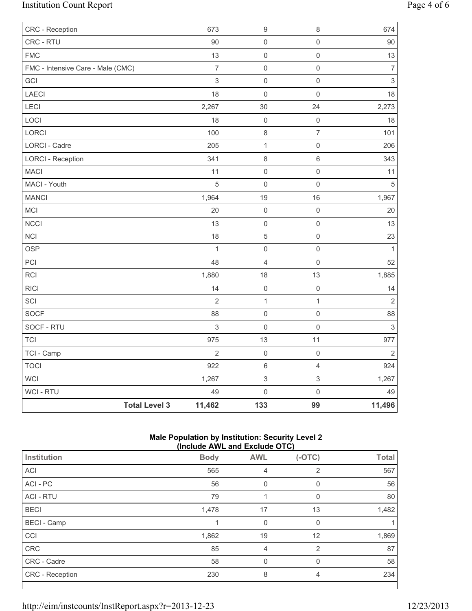# Institution Count Report Page 4 of 6

| CRC - Reception                   |                      | 673              | $\boldsymbol{9}$          | $\,8\,$             | 674                       |
|-----------------------------------|----------------------|------------------|---------------------------|---------------------|---------------------------|
| CRC - RTU                         |                      | 90               | $\mathsf 0$               | $\mathsf{O}\xspace$ | $90\,$                    |
| <b>FMC</b>                        |                      | 13               | $\mathsf 0$               | $\mathsf{O}\xspace$ | 13                        |
| FMC - Intensive Care - Male (CMC) |                      | $\boldsymbol{7}$ | $\mathsf 0$               | $\mathsf{O}\xspace$ | $\overline{7}$            |
| GCI                               |                      | $\mathfrak{S}$   | $\mathsf 0$               | $\mathsf{O}\xspace$ | $\mathsf 3$               |
| LAECI                             |                      | 18               | $\mathsf 0$               | $\mathbf 0$         | 18                        |
| LECI                              |                      | 2,267            | $30\,$                    | 24                  | 2,273                     |
| LOCI                              |                      | 18               | $\mathsf 0$               | $\mathsf{O}\xspace$ | 18                        |
| LORCI                             |                      | 100              | $\,8\,$                   | $\overline{7}$      | 101                       |
| LORCI - Cadre                     |                      | 205              | $\mathbf{1}$              | $\mathsf{O}\xspace$ | 206                       |
| <b>LORCI - Reception</b>          |                      | 341              | $\,8\,$                   | $\,6\,$             | 343                       |
| <b>MACI</b>                       |                      | 11               | $\mathsf 0$               | $\mathsf{O}\xspace$ | 11                        |
| MACI - Youth                      |                      | 5                | $\mathsf 0$               | $\mathsf{O}\xspace$ | $\sqrt{5}$                |
| <b>MANCI</b>                      |                      | 1,964            | 19                        | 16                  | 1,967                     |
| MCI                               |                      | 20               | $\mathsf 0$               | $\mathsf{O}\xspace$ | 20                        |
| <b>NCCI</b>                       |                      | 13               | $\mathsf{O}\xspace$       | $\mathsf{O}\xspace$ | 13                        |
| <b>NCI</b>                        |                      | 18               | $\sqrt{5}$                | $\mathsf{O}\xspace$ | 23                        |
| <b>OSP</b>                        |                      | $\mathbf{1}$     | $\mathsf 0$               | $\mathsf{O}\xspace$ | $\mathbf{1}$              |
| PCI                               |                      | 48               | $\overline{4}$            | $\mathsf{O}\xspace$ | 52                        |
| <b>RCI</b>                        |                      | 1,880            | 18                        | 13                  | 1,885                     |
| <b>RICI</b>                       |                      | 14               | $\mathsf 0$               | $\mathsf{O}\xspace$ | 14                        |
| SCI                               |                      | $\overline{2}$   | $\mathbf{1}$              | $\mathbf{1}$        | $\sqrt{2}$                |
| SOCF                              |                      | 88               | $\mathsf 0$               | $\mathsf{O}\xspace$ | 88                        |
| SOCF - RTU                        |                      | 3                | $\mathsf 0$               | $\mathbf 0$         | $\ensuremath{\mathsf{3}}$ |
| <b>TCI</b>                        |                      | 975              | 13                        | 11                  | 977                       |
| TCI - Camp                        |                      | $\overline{2}$   | $\mathsf 0$               | $\mathbf 0$         | $\overline{2}$            |
| <b>TOCI</b>                       |                      | 922              | $\,6\,$                   | $\overline{4}$      | 924                       |
| WCI                               |                      | 1,267            | $\ensuremath{\mathsf{3}}$ | $\mathfrak{S}$      | 1,267                     |
| WCI - RTU                         |                      | 49               | $\mathsf{O}\xspace$       | $\mathsf{O}\xspace$ | 49                        |
|                                   | <b>Total Level 3</b> | 11,462           | 133                       | 99                  | 11,496                    |

### **Male Population by Institution: Security Level 2 (Include AWL and Exclude OTC)**

| (include AWL and Exclude OTC) |             |            |          |              |
|-------------------------------|-------------|------------|----------|--------------|
| Institution                   | <b>Body</b> | <b>AWL</b> | $(-OTC)$ | <b>Total</b> |
| <b>ACI</b>                    | 565         | 4          | 2        | 567          |
| ACI - PC                      | 56          | 0          | 0        | 56           |
| <b>ACI - RTU</b>              | 79          |            | 0        | 80           |
| <b>BECI</b>                   | 1,478       | 17         | 13       | 1,482        |
| <b>BECI</b> - Camp            |             | 0          | 0        |              |
| CCI                           | 1,862       | 19         | 12       | 1,869        |
| CRC                           | 85          | 4          | 2        | 87           |
| CRC - Cadre                   | 58          | 0          | $\Omega$ | 58           |
| CRC - Reception               | 230         | 8          | 4        | 234          |
|                               |             |            |          |              |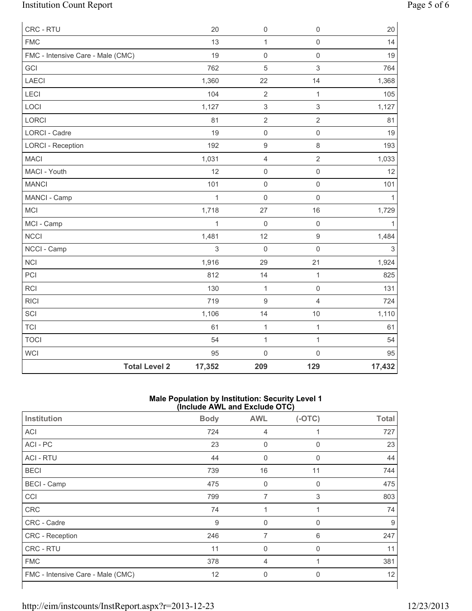# Institution Count Report Page 5 of 6

| CRC - RTU                         | 20           | $\mathsf 0$               | $\mathbf 0$         | 20             |
|-----------------------------------|--------------|---------------------------|---------------------|----------------|
| <b>FMC</b>                        | 13           | $\mathbf{1}$              | $\mathsf{O}\xspace$ | 14             |
| FMC - Intensive Care - Male (CMC) | 19           | $\mathsf 0$               | $\mathsf{O}\xspace$ | 19             |
| GCI                               | 762          | 5                         | $\mathfrak{S}$      | 764            |
| LAECI                             | 1,360        | 22                        | 14                  | 1,368          |
| LECI                              | 104          | $\overline{2}$            | $\mathbf{1}$        | 105            |
| LOCI                              | 1,127        | $\ensuremath{\mathsf{3}}$ | $\mathsf 3$         | 1,127          |
| LORCI                             | 81           | $\overline{2}$            | $\overline{2}$      | 81             |
| <b>LORCI - Cadre</b>              | 19           | $\mathsf{O}\xspace$       | $\mathsf{O}\xspace$ | 19             |
| <b>LORCI - Reception</b>          | 192          | $\mathsf g$               | $\,8\,$             | 193            |
| <b>MACI</b>                       | 1,031        | 4                         | $\overline{2}$      | 1,033          |
| MACI - Youth                      | 12           | $\mathsf 0$               | $\mathsf{O}\xspace$ | 12             |
| <b>MANCI</b>                      | 101          | $\mathsf 0$               | $\mathsf 0$         | 101            |
| MANCI - Camp                      | $\mathbf{1}$ | $\mathsf{O}\xspace$       | $\mathbf 0$         | 1              |
| MCI                               | 1,718        | 27                        | 16                  | 1,729          |
| MCI - Camp                        | $\mathbf{1}$ | $\mathsf 0$               | $\mathsf{O}\xspace$ | $\mathbf{1}$   |
| <b>NCCI</b>                       | 1,481        | 12                        | $\boldsymbol{9}$    | 1,484          |
| NCCI - Camp                       | 3            | $\mathbf 0$               | $\mathsf{O}\xspace$ | $\mathfrak{S}$ |
| <b>NCI</b>                        | 1,916        | 29                        | 21                  | 1,924          |
| PCI                               | 812          | 14                        | $\mathbf 1$         | 825            |
| RCI                               | 130          | $\mathbf{1}$              | $\mathsf{O}\xspace$ | 131            |
| <b>RICI</b>                       | 719          | 9                         | $\overline{4}$      | 724            |
| SCI                               | 1,106        | 14                        | $10$                | 1,110          |
| <b>TCI</b>                        | 61           | $\mathbf{1}$              | $\mathbf{1}$        | 61             |
| <b>TOCI</b>                       | 54           | $\mathbf{1}$              | $\mathbf{1}$        | 54             |
| <b>WCI</b>                        | 95           | $\mathsf 0$               | $\mathsf{O}\xspace$ | 95             |
| <b>Total Level 2</b>              | 17,352       | 209                       | 129                 | 17,432         |

#### **Male Population by Institution: Security Level 1 (Include AWL and Exclude OTC)**

| Institution                       | <b>Body</b> | <b>AWL</b>       | $(-OTC)$     | <b>Total</b> |
|-----------------------------------|-------------|------------------|--------------|--------------|
| <b>ACI</b>                        | 724         | 4                |              | 727          |
| ACI - PC                          | 23          | 0                | $\mathbf{0}$ | 23           |
| <b>ACI - RTU</b>                  | 44          | $\boldsymbol{0}$ | $\mathbf 0$  | 44           |
| <b>BECI</b>                       | 739         | 16               | 11           | 744          |
| <b>BECI</b> - Camp                | 475         | $\boldsymbol{0}$ | 0            | 475          |
| CCI                               | 799         | 7                | 3            | 803          |
| <b>CRC</b>                        | 74          |                  |              | 74           |
| CRC - Cadre                       | 9           | 0                | 0            | 9            |
| CRC - Reception                   | 246         | 7                | 6            | 247          |
| <b>CRC - RTU</b>                  | 11          | $\mathbf 0$      | 0            | 11           |
| <b>FMC</b>                        | 378         | 4                |              | 381          |
| FMC - Intensive Care - Male (CMC) | 12          | $\mathbf 0$      | $\mathbf{0}$ | 12           |
|                                   |             |                  |              |              |